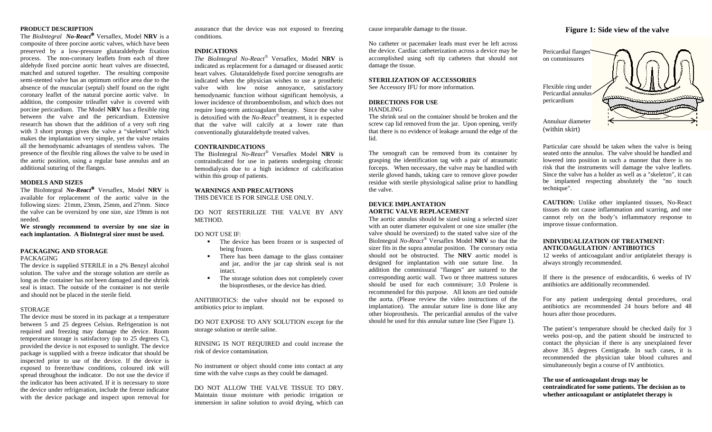# **PRODUCT DESCRIPTION**

 The *BioIntegral No-React* Versaflex*,* Model **NRV** is a composite of three porcine aortic valves, which have been preserved by a low-pressure glutaraldehyde fixation process. The non-coronary leaflets from each of three aldehyde fixed porcine aortic heart valves are dissected, matched and sutured together. The resulting composite semi-stented valve has an optimum orifice area due to the absence of the muscular (septal) shelf found on the right coronary leaflet of the natural porcine aortic valve. In addition, the composite trileaflet valve is covered with porcine pericardium. The Model **NRV** has a flexible ring between the valve and the pericardium. Extensive research has shown that the addition of a very soft ring with 3 short prongs gives the valve a "skeleton" which makes the implantation very simple, yet the valve retains all the hemodynamic advantages of stentless valves. The presence of the flexible ring allows the valve to be used in the aortic position, using a regular base annulus and an additional suturing of the flanges.

### **MODELS AND SIZES**

The BioIntegral *No-React*<sup>®</sup> Versaflex, Model **NRV** is available for replacement of the aortic valve in the following sizes: 21mm, 23mm, 25mm, and 27mm. Since the valve can be oversized by one size, size 19mm is not needed.

**We strongly recommend to oversize by one size in each implantation. A BioIntegral sizer must be used.** 

#### **PACKAGING AND STORAGE** PACKAGING

The device is supplied STERILE in a 2% Benzyl alcohol solution. The valve and the storage solution are sterile as long as the container has not been damaged and the shrink seal is intact. The outside of the container is not sterile and should not be placed in the sterile field.

### **STORAGE**

The device must be stored in its package at a temperature between 5 and 25 degrees Celsius. Refrigeration is not required and freezing may damage the device. Room temperature storage is satisfactory (up to 25 degrees C), provided the device is not exposed to sunlight. The device package is supplied with a freeze indicator that should be inspected prior to use of the device. If the device is exposed to freeze/thaw conditions, coloured ink will spread throughout the indicator. Do not use the device if the indicator has been activated. If it is necessary to store the device under refrigeration, include the freeze indicator with the device package and inspect upon removal for

assurance that the device was not exposed to freezing conditions.

#### **INDICATIONS**

*The BioIntegral No-React* Versaflex*,* Model **NRV** is indicated as replacement for a damaged or diseased aortic heart valves. Glutaraldehyde fixed porcine xenografts are indicated when the physician wishes to use a prosthetic valve with low noise annoyance, satisfactory hemodynamic function without significant hemolysis, a lower incidence of thromboembolism, and which does not require long-term anticoagulant therapy. Since the valve is detoxified with the *No-React*<sup>®</sup> treatment, it is expected that the valve will calcify at a lower rate than conventionally glutaraldehyde treated valves.

# **CONTRAINDICATIONS**

The BioIntegral *No-React*® Versaflex Model **NRV** is contraindicated for use in patients undergoing chronic hemodialysis due to a high incidence of calcification within this group of patients.

# **WARNINGS AND PRECAUTIONS**

THIS DEVICE IS FOR SINGLE USE ONLY.

DO NOT RESTERILIZE THE VALVE BY ANY METHOD.

# DO NOT USE IF:

- The device has been frozen or is suspected of being frozen.
- **There has been damage to the glass container** and jar, and/or the jar cap shrink seal is not intact.
- The storage solution does not completely cover the bioprostheses, or the device has dried.

ANITIBIOTICS: the valve should not be exposed to antibiotics prior to implant.

DO NOT EXPOSE TO ANY SOLUTION except for the storage solution or sterile saline.

RINSING IS NOT REQUIRED and could increase the risk of device contamination.

No instrument or object should come into contact at any time with the valve cusps as they could be damaged.

DO NOT ALLOW THE VALVE TISSUE TO DRY. Maintain tissue moisture with periodic irrigation or immersion in saline solution to avoid drying, which can cause irreparable damage to the tissue.

No catheter or pacemaker leads must ever be left across the device. Cardiac catheterization across a device may be accomplished using soft tip catheters that should not damage the tissue.

# **STERILIZATION OF ACCESSORIES**

See Accessory IFU for more information.

# **DIRECTIONS FOR USE**

#### HANDLING

The shrink seal on the container should be broken and the screw cap lid removed from the jar. Upon opening, verify that there is no evidence of leakage around the edge of the lid.

The xenograft can be removed from its container by grasping the identification tag with a pair of atraumatic forceps. When necessary, the valve may be handled with sterile gloved hands, taking care to remove glove powder residue with sterile physiological saline prior to handling the valve.

# **DEVICE IMPLANTATION AORTIC VALVE REPLACEMENT**

The aortic annulus should be sized using a selected sizer with an outer diameter equivalent or one size smaller (the valve should be oversized) to the stated valve size of the BioIntegral *No-React*® Versaflex Model **NRV** so that the sizer fits in the supra annular position. The coronary ostia should not be obstructed. The **NRV** aortic model is designed for implantation with one suture line. In addition the commissural "flanges" are sutured to the corresponding aortic wall. Two or three mattress sutures should be used for each commisure; 3.0 Prolene is recommended for this purpose. All knots are tied outside the aorta. (Please review the video instructions of the implantation). The annular suture line is done like any other bioprosthesis. The pericardial annulus of the valve should be used for this annular suture line (See Figure 1).

# **Figure 1: Side view of the valve**



Particular care should be taken when the valve is being seated onto the annulus. The valve should be handled and lowered into position in such a manner that there is no risk that the instruments will damage the valve leaflets. Since the valve has a holder as well as a "skeleton", it can be implanted respecting absolutely the "no touch technique".

**CAUTION:** Unlike other implanted tissues, No-React tissues do not cause inflammation and scarring, and one cannot rely on the body's inflammatory response to improve tissue conformation.

# **INDIVIDUALIZATION OF TREATMENT: ANTICOAGULATION / ANTIBIOTICS**

12 weeks of anticoagulant and/or antiplatelet therapy is always strongly recommended.

If there is the presence of endocarditis, 6 weeks of IV antibiotics are additionally recommended.

For any patient undergoing dental procedures, oral antibiotics are recommended 24 hours before and 48 hours after those procedures.

The patient's temperature should be checked daily for 3 weeks post-op, and the patient should be instructed to contact the physician if there is any unexplained fever above 38.5 degrees Centigrade. In such cases, it is recommended the physician take blood cultures and simultaneously begin a course of IV antibiotics.

# **The use of anticoagulant drugs may be contraindicated for some patients. The decision as to whether anticoagulant or antiplatelet therapy is**